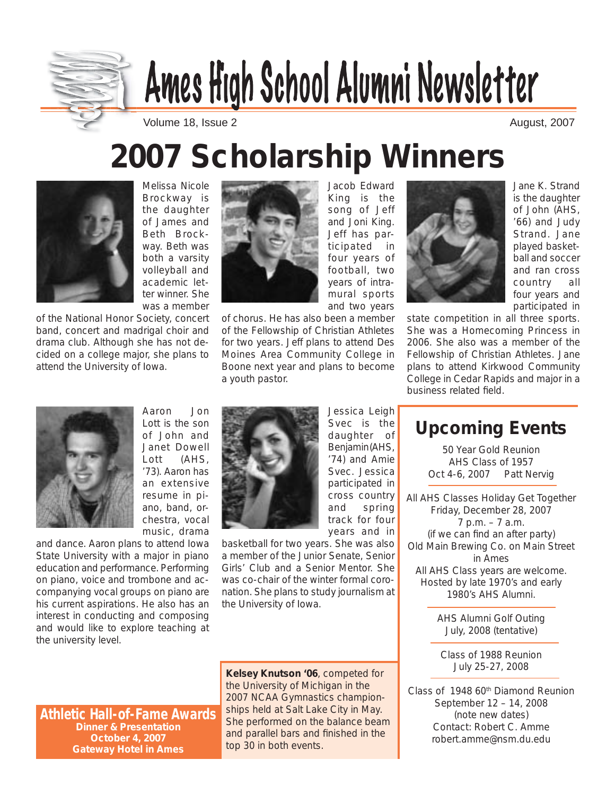

# Ames High School Alumni Newsletter

Volume 18, Issue 2 August, 2007

## **2007 Scholarship Winners**



Melissa Nicole Brockway is the daughter of James and Beth Brockway. Beth was both a varsity volleyball and academic letter winner. She was a member

of the National Honor Society, concert band, concert and madrigal choir and drama club. Although she has not decided on a college major, she plans to attend the University of Iowa.



Jacob Edward King is the song of Jeff and Joni King. Jeff has paryears of intra-

of chorus. He has also been a member of the Fellowship of Christian Athletes for two years. Jeff plans to attend Des Moines Area Community College in Boone next year and plans to become a youth pastor.

ticipated in four years of football, two mural sports and two years



Jane K. Strand is the daughter of John (AHS, '66) and Judy Strand. Jane played basketball and soccer and ran cross country all four years and participated in

state competition in all three sports. She was a Homecoming Princess in 2006. She also was a member of the Fellowship of Christian Athletes. Jane plans to attend Kirkwood Community College in Cedar Rapids and major in a business related field.



Aaron Jon Lott is the son of John and Janet Dowell Lott (AHS, '73). Aaron has an extensive resume in piano, band, orchestra, vocal music, drama

and dance. Aaron plans to attend Iowa State University with a major in piano education and performance. Performing on piano, voice and trombone and accompanying vocal groups on piano are his current aspirations. He also has an interest in conducting and composing and would like to explore teaching at the university level.



Jessica Leigh Svec is the daughter of Benjamin (AHS, '74) and Amie Svec. Jessica participated in cross country and spring track for four years and in

basketball for two years. She was also a member of the Junior Senate, Senior Girls' Club and a Senior Mentor. She was co-chair of the winter formal coronation. She plans to study journalism at the University of Iowa.

**Athletic Hall-of-Fame Awards Dinner & Presentation October 4, 2007 Gateway Hotel in Ames**

**Kelsey Knutson '06**, competed for the University of Michigan in the 2007 NCAA Gymnastics championships held at Salt Lake City in May. She performed on the balance beam and parallel bars and finished in the top 30 in both events.

**Upcoming Events**

50 Year Gold Reunion AHS Class of 1957 Oct 4-6, 2007 Patt Nervig

All AHS Classes Holiday Get Together Friday, December 28, 2007 7 p.m. – 7 a.m. (if we can find an after party) Old Main Brewing Co. on Main Street in Ames All AHS Class years are welcome. Hosted by late 1970's and early 1980's AHS Alumni.

> AHS Alumni Golf Outing July, 2008 (tentative)

Class of 1988 Reunion July 25-27, 2008

Class of 1948 60<sup>th</sup> Diamond Reunion September 12 – 14, 2008 (note new dates) Contact: Robert C. Amme robert.amme@nsm.du.edu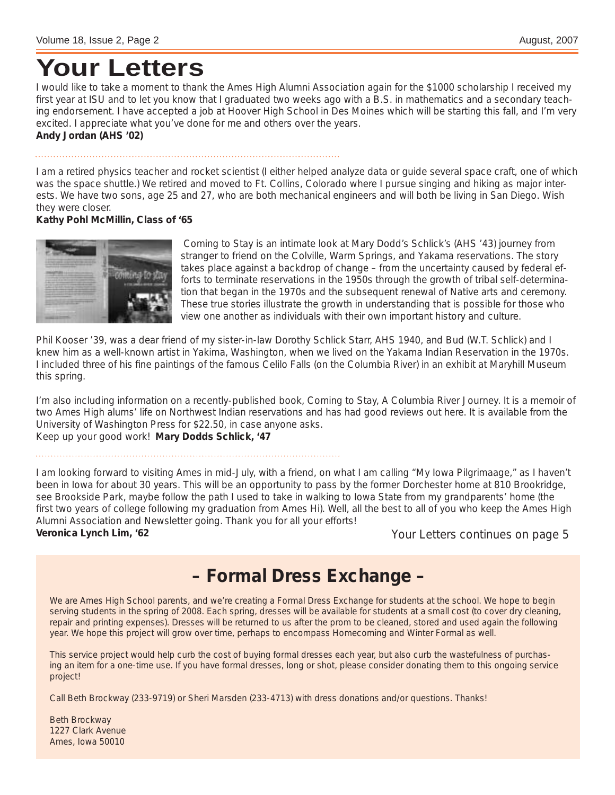### **Your Letters**

I would like to take a moment to thank the Ames High Alumni Association again for the \$1000 scholarship I received my first year at ISU and to let you know that I graduated two weeks ago with a B.S. in mathematics and a secondary teaching endorsement. I have accepted a job at Hoover High School in Des Moines which will be starting this fall, and I'm very excited. I appreciate what you've done for me and others over the years. **Andy Jordan (AHS '02)**

I am a retired physics teacher and rocket scientist (I either helped analyze data or guide several space craft, one of which was the space shuttle.) We retired and moved to Ft. Collins, Colorado where I pursue singing and hiking as major interests. We have two sons, age 25 and 27, who are both mechanical engineers and will both be living in San Diego. Wish they were closer.

#### **Kathy Pohl McMillin, Class of '65**



 Coming to Stay is an intimate look at Mary Dodd's Schlick's (AHS '43) journey from stranger to friend on the Colville, Warm Springs, and Yakama reservations. The story takes place against a backdrop of change – from the uncertainty caused by federal efforts to terminate reservations in the 1950s through the growth of tribal self-determination that began in the 1970s and the subsequent renewal of Native arts and ceremony. These true stories illustrate the growth in understanding that is possible for those who view one another as individuals with their own important history and culture.

Phil Kooser '39, was a dear friend of my sister-in-law Dorothy Schlick Starr, AHS 1940, and Bud (W.T. Schlick) and I knew him as a well-known artist in Yakima, Washington, when we lived on the Yakama Indian Reservation in the 1970s. I included three of his fine paintings of the famous Celilo Falls (on the Columbia River) in an exhibit at Maryhill Museum this spring.

I'm also including information on a recently-published book, Coming to Stay, A Columbia River Journey. It is a memoir of two Ames High alums' life on Northwest Indian reservations and has had good reviews out here. It is available from the University of Washington Press for \$22.50, in case anyone asks. Keep up your good work! **Mary Dodds Schlick, '47**

I am looking forward to visiting Ames in mid-July, with a friend, on what I am calling "My Iowa Pilgrimaage," as I haven't been in Iowa for about 30 years. This will be an opportunity to pass by the former Dorchester home at 810 Brookridge, see Brookside Park, maybe follow the path I used to take in walking to Iowa State from my grandparents' home (the first two years of college following my graduation from Ames Hi). Well, all the best to all of you who keep the Ames High Alumni Association and Newsletter going. Thank you for all your efforts! **Veronica Lynch Lim, '62**

*Your Letters continues on page 5*

#### **– Formal Dress Exchange –**

We are Ames High School parents, and we're creating a Formal Dress Exchange for students at the school. We hope to begin serving students in the spring of 2008. Each spring, dresses will be available for students at a small cost (to cover dry cleaning, repair and printing expenses). Dresses will be returned to us after the prom to be cleaned, stored and used again the following year. We hope this project will grow over time, perhaps to encompass Homecoming and Winter Formal as well.

This service project would help curb the cost of buying formal dresses each year, but also curb the wastefulness of purchasing an item for a one-time use. If you have formal dresses, long or shot, please consider donating them to this ongoing service project!

Call Beth Brockway (233-9719) or Sheri Marsden (233-4713) with dress donations and/or questions. Thanks!

Beth Brockway 1227 Clark Avenue Ames, Iowa 50010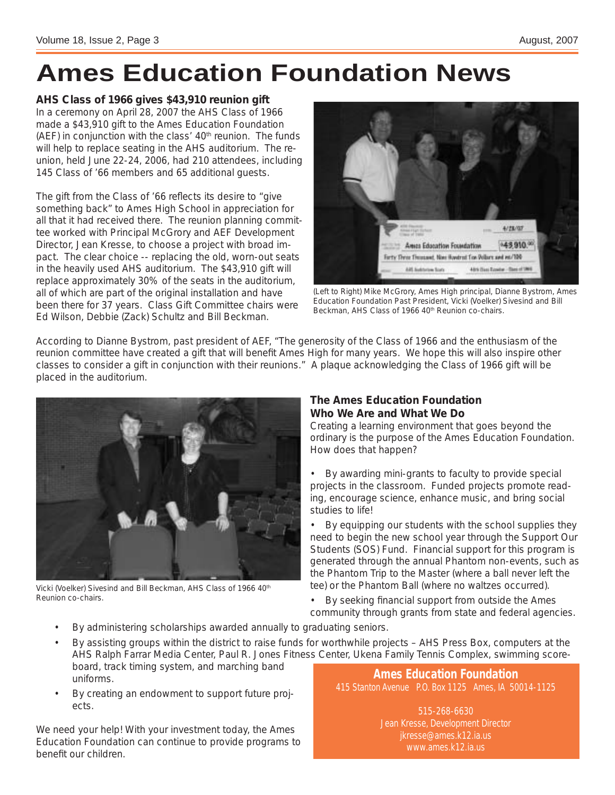## **Ames Education Foundation News**

**AHS Class of 1966 gives \$43,910 reunion gift** 

In a ceremony on April 28, 2007 the AHS Class of 1966 made a \$43,910 gift to the Ames Education Foundation (AEF) in conjunction with the class'  $40<sup>th</sup>$  reunion. The funds will help to replace seating in the AHS auditorium. The reunion, held June 22-24, 2006, had 210 attendees, including 145 Class of '66 members and 65 additional guests.

The gift from the Class of '66 reflects its desire to "give something back" to Ames High School in appreciation for all that it had received there. The reunion planning committee worked with Principal McGrory and AEF Development Director, Jean Kresse, to choose a project with broad impact. The clear choice -- replacing the old, worn-out seats in the heavily used AHS auditorium. The \$43,910 gift will replace approximately 30% of the seats in the auditorium, all of which are part of the original installation and have been there for 37 years. Class Gift Committee chairs were Ed Wilson, Debbie (Zack) Schultz and Bill Beckman.



(Left to Right) Mike McGrory, Ames High principal, Dianne Bystrom, Ames Education Foundation Past President, Vicki (Voelker) Sivesind and Bill Beckman, AHS Class of 1966 40<sup>th</sup> Reunion co-chairs.

According to Dianne Bystrom, past president of AEF, "The generosity of the Class of 1966 and the enthusiasm of the reunion committee have created a gift that will benefit Ames High for many years. We hope this will also inspire other classes to consider a gift in conjunction with their reunions." A plaque acknowledging the Class of 1966 gift will be placed in the auditorium.



Vicki (Voelker) Sivesind and Bill Beckman, AHS Class of 1966 40<sup>th</sup> Reunion co-chairs.

#### **The Ames Education Foundation Who We Are and What We Do**

Creating a learning environment that goes beyond the ordinary is the purpose of the Ames Education Foundation. How does that happen?

By awarding mini-grants to faculty to provide special projects in the classroom. Funded projects promote reading, encourage science, enhance music, and bring social studies to life!

By equipping our students with the school supplies they need to begin the new school year through the Support Our Students (SOS) Fund. Financial support for this program is generated through the annual Phantom non-events, such as the Phantom Trip to the Master (where a ball never left the tee) or the Phantom Ball (where no waltzes occurred).

By seeking financial support from outside the Ames community through grants from state and federal agencies.

- By administering scholarships awarded annually to graduating seniors.
- By assisting groups within the district to raise funds for worthwhile projects AHS Press Box, computers at the AHS Ralph Farrar Media Center, Paul R. Jones Fitness Center, Ukena Family Tennis Complex, swimming scoreboard, track timing system, and marching band uniforms. **Ames Education Foundation**
- By creating an endowment to support future projects.

We need your help! With your investment today, the Ames Education Foundation can continue to provide programs to benefit our children.

415 Stanton Avenue P.O. Box 1125 Ames, IA 50014-1125

515-268-6630 Jean Kresse, Development Director jkresse@ames.k12.ia.us www.ames.k12.ia.us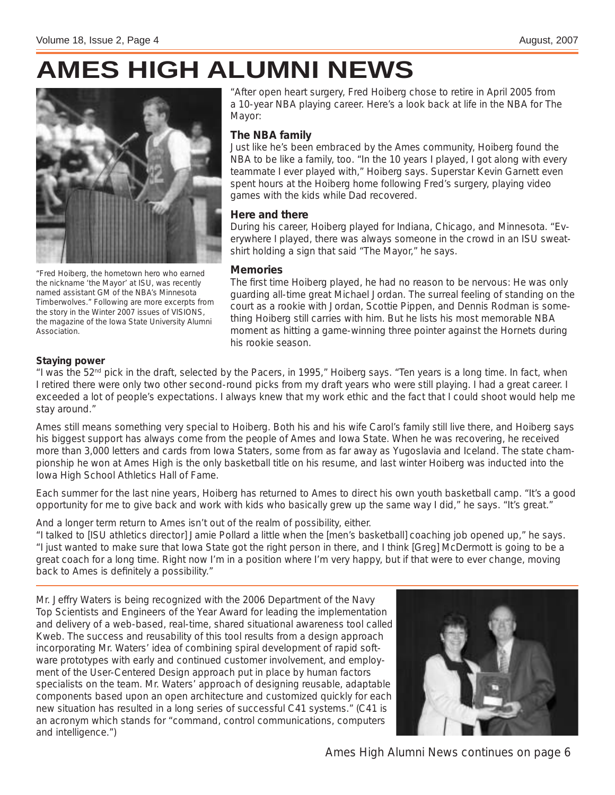## **AMES HIGH ALUMNI NEWS**



"Fred Hoiberg, the hometown hero who earned the nickname 'the Mayor' at ISU, was recently named assistant GM of the NBA's Minnesota Timberwolves." Following are more excerpts from the story in the Winter 2007 issues of VISIONS, the magazine of the Iowa State University Alumni Association.

"After open heart surgery, Fred Hoiberg chose to retire in April 2005 from a 10-year NBA playing career. Here's a look back at life in the NBA for The Mayor:

#### **The NBA family**

Just like he's been embraced by the Ames community, Hoiberg found the NBA to be like a family, too. "In the 10 years I played, I got along with every teammate I ever played with," Hoiberg says. Superstar Kevin Garnett even spent hours at the Hoiberg home following Fred's surgery, playing video games with the kids while Dad recovered.

#### **Here and there**

During his career, Hoiberg played for Indiana, Chicago, and Minnesota. "Everywhere I played, there was always someone in the crowd in an ISU sweatshirt holding a sign that said "The Mayor," he says.

#### **Memories**

The first time Hoiberg played, he had no reason to be nervous: He was only guarding all-time great Michael Jordan. The surreal feeling of standing on the court as a rookie with Jordan, Scottie Pippen, and Dennis Rodman is something Hoiberg still carries with him. But he lists his most memorable NBA moment as hitting a game-winning three pointer against the Hornets during his rookie season.

#### **Staying power**

"I was the  $52<sup>nd</sup>$  pick in the draft, selected by the Pacers, in 1995," Hoiberg says. "Ten years is a long time. In fact, when I retired there were only two other second-round picks from my draft years who were still playing. I had a great career. I exceeded a lot of people's expectations. I always knew that my work ethic and the fact that I could shoot would help me stay around."

Ames still means something very special to Hoiberg. Both his and his wife Carol's family still live there, and Hoiberg says his biggest support has always come from the people of Ames and Iowa State. When he was recovering, he received more than 3,000 letters and cards from Iowa Staters, some from as far away as Yugoslavia and Iceland. The state championship he won at Ames High is the only basketball title on his resume, and last winter Hoiberg was inducted into the Iowa High School Athletics Hall of Fame.

Each summer for the last nine years, Hoiberg has returned to Ames to direct his own youth basketball camp. "It's a good opportunity for me to give back and work with kids who basically grew up the same way I did," he says. "It's great."

And a longer term return to Ames isn't out of the realm of possibility, either.

"I talked to [ISU athletics director] Jamie Pollard a little when the [men's basketball] coaching job opened up," he says. "I just wanted to make sure that Iowa State got the right person in there, and I think [Greg] McDermott is going to be a great coach for a long time. Right now I'm in a position where I'm very happy, but if that were to ever change, moving back to Ames is definitely a possibility."

Mr. Jeffry Waters is being recognized with the 2006 Department of the Navy Top Scientists and Engineers of the Year Award for leading the implementation and delivery of a web-based, real-time, shared situational awareness tool called Kweb. The success and reusability of this tool results from a design approach incorporating Mr. Waters' idea of combining spiral development of rapid software prototypes with early and continued customer involvement, and employment of the User-Centered Design approach put in place by human factors specialists on the team. Mr. Waters' approach of designing reusable, adaptable components based upon an open architecture and customized quickly for each new situation has resulted in a long series of successful C41 systems." (C41 is an acronym which stands for "command, control communications, computers and intelligence.")



*Ames High Alumni News continues on page 6*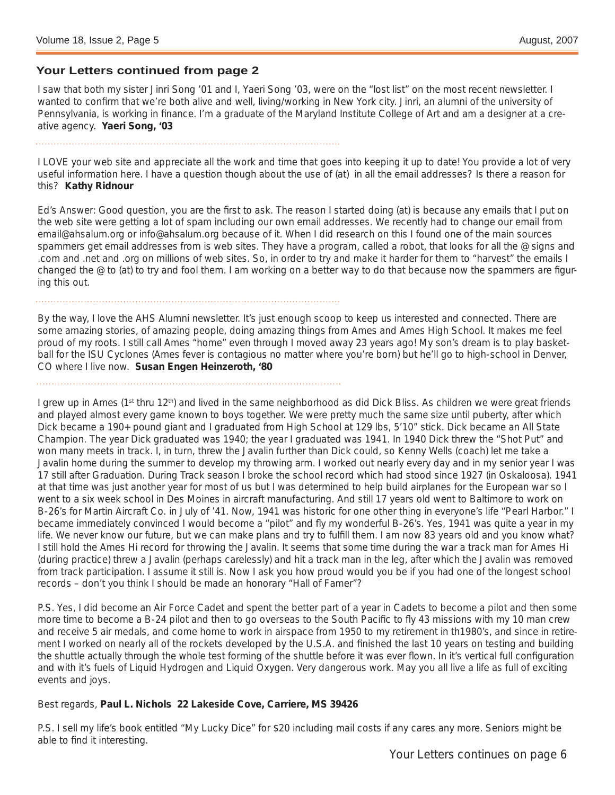#### **Your Letters continued from page 2**

I saw that both my sister Jinri Song '01 and I, Yaeri Song '03, were on the "lost list" on the most recent newsletter. I wanted to confirm that we're both alive and well, living/working in New York city. Jinri, an alumni of the university of Pennsylvania, is working in finance. I'm a graduate of the Maryland Institute College of Art and am a designer at a creative agency. **Yaeri Song, '03**

I LOVE your web site and appreciate all the work and time that goes into keeping it up to date! You provide a lot of very useful information here. I have a question though about the use of (at) in all the email addresses? Is there a reason for this? **Kathy Ridnour**

Ed's Answer: Good question, you are the first to ask. The reason I started doing (at) is because any emails that I put on the web site were getting a lot of spam including our own email addresses. We recently had to change our email from email@ahsalum.org or info@ahsalum.org because of it. When I did research on this I found one of the main sources spammers get email addresses from is web sites. They have a program, called a robot, that looks for all the @ signs and .com and .net and .org on millions of web sites. So, in order to try and make it harder for them to "harvest" the emails I changed the @ to (at) to try and fool them. I am working on a better way to do that because now the spammers are figuring this out.

By the way, I love the AHS Alumni newsletter. It's just enough scoop to keep us interested and connected. There are some amazing stories, of amazing people, doing amazing things from Ames and Ames High School. It makes me feel proud of my roots. I still call Ames "home" even through I moved away 23 years ago! My son's dream is to play basketball for the ISU Cyclones (Ames fever is contagious no matter where you're born) but he'll go to high-school in Denver, CO where I live now. **Susan Engen Heinzeroth, '80**

I grew up in Ames (1<sup>st</sup> thru 12<sup>th</sup>) and lived in the same neighborhood as did Dick Bliss. As children we were great friends and played almost every game known to boys together. We were pretty much the same size until puberty, after which Dick became a 190+ pound giant and I graduated from High School at 129 lbs, 5'10" stick. Dick became an All State Champion. The year Dick graduated was 1940; the year I graduated was 1941. In 1940 Dick threw the "Shot Put" and won many meets in track. I, in turn, threw the Javalin further than Dick could, so Kenny Wells (coach) let me take a Javalin home during the summer to develop my throwing arm. I worked out nearly every day and in my senior year I was 17 still after Graduation. During Track season I broke the school record which had stood since 1927 (in Oskaloosa). 1941 at that time was just another year for most of us but I was determined to help build airplanes for the European war so I went to a six week school in Des Moines in aircraft manufacturing. And still 17 years old went to Baltimore to work on B-26's for Martin Aircraft Co. in July of '41. Now, 1941 was historic for one other thing in everyone's life "Pearl Harbor." I became immediately convinced I would become a "pilot" and fly my wonderful B-26's. Yes, 1941 was quite a year in my life. We never know our future, but we can make plans and try to fulfill them. I am now 83 years old and you know what? I still hold the Ames Hi record for throwing the Javalin. It seems that some time during the war a track man for Ames Hi (during practice) threw a Javalin (perhaps carelessly) and hit a track man in the leg, after which the Javalin was removed from track participation. I assume it still is. Now I ask you how proud would you be if you had one of the longest school records – don't you think I should be made an honorary "Hall of Famer"?

P.S. Yes, I did become an Air Force Cadet and spent the better part of a year in Cadets to become a pilot and then some more time to become a B-24 pilot and then to go overseas to the South Pacific to fly 43 missions with my 10 man crew and receive 5 air medals, and come home to work in airspace from 1950 to my retirement in th1980's, and since in retirement I worked on nearly all of the rockets developed by the U.S.A. and finished the last 10 years on testing and building the shuttle actually through the whole test forming of the shuttle before it was ever flown. In it's vertical full configuration and with it's fuels of Liquid Hydrogen and Liquid Oxygen. Very dangerous work. May you all live a life as full of exciting events and joys.

#### Best regards, **Paul L. Nichols 22 Lakeside Cove, Carriere, MS 39426**

P.S. I sell my life's book entitled "My Lucky Dice" for \$20 including mail costs if any cares any more. Seniors might be able to find it interesting.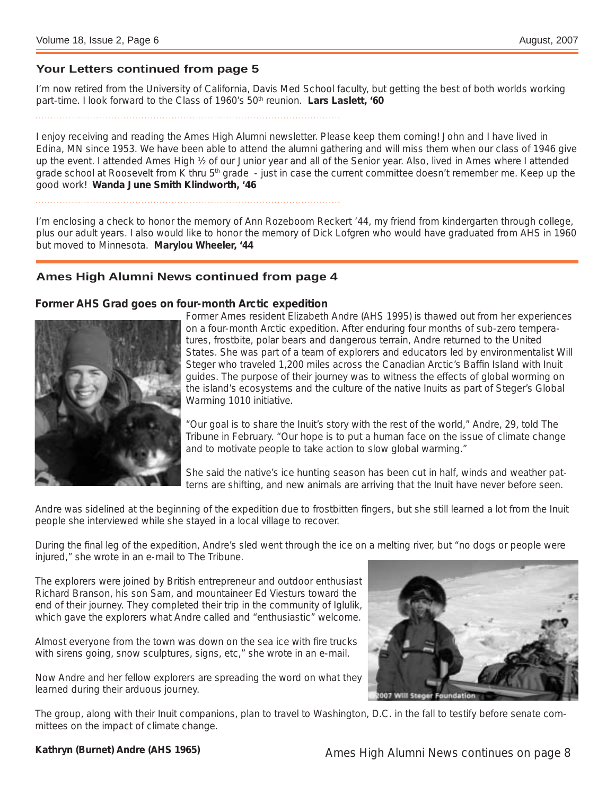#### **Your Letters continued from page 5**

I'm now retired from the University of California, Davis Med School faculty, but getting the best of both worlds working part-time. I look forward to the Class of 1960's 50<sup>th</sup> reunion. **Lars Laslett, '60** 

I enjoy receiving and reading the Ames High Alumni newsletter. Please keep them coming! John and I have lived in Edina, MN since 1953. We have been able to attend the alumni gathering and will miss them when our class of 1946 give up the event. I attended Ames High  $\frac{1}{2}$  of our Junior year and all of the Senior year. Also, lived in Ames where I attended grade school at Roosevelt from K thru 5<sup>th</sup> grade - just in case the current committee doesn't remember me. Keep up the good work! **Wanda June Smith Klindworth, '46**

I'm enclosing a check to honor the memory of Ann Rozeboom Reckert '44, my friend from kindergarten through college, plus our adult years. I also would like to honor the memory of Dick Lofgren who would have graduated from AHS in 1960 but moved to Minnesota. **Marylou Wheeler, '44**

#### **Ames High Alumni News continued from page 4**

#### **Former AHS Grad goes on four-month Arctic expedition**



Former Ames resident Elizabeth Andre (AHS 1995) is thawed out from her experiences on a four-month Arctic expedition. After enduring four months of sub-zero temperatures, frostbite, polar bears and dangerous terrain, Andre returned to the United States. She was part of a team of explorers and educators led by environmentalist Will Steger who traveled 1,200 miles across the Canadian Arctic's Baffin Island with Inuit guides. The purpose of their journey was to witness the effects of global worming on the island's ecosystems and the culture of the native Inuits as part of Steger's Global Warming 1010 initiative.

"Our goal is to share the Inuit's story with the rest of the world," Andre, 29, told The Tribune in February. "Our hope is to put a human face on the issue of climate change and to motivate people to take action to slow global warming."

She said the native's ice hunting season has been cut in half, winds and weather patterns are shifting, and new animals are arriving that the Inuit have never before seen.

Andre was sidelined at the beginning of the expedition due to frostbitten fingers, but she still learned a lot from the Inuit people she interviewed while she stayed in a local village to recover.

During the final leg of the expedition, Andre's sled went through the ice on a melting river, but "no dogs or people were injured," she wrote in an e-mail to The Tribune.

The explorers were joined by British entrepreneur and outdoor enthusiast Richard Branson, his son Sam, and mountaineer Ed Viesturs toward the end of their journey. They completed their trip in the community of Iglulik, which gave the explorers what Andre called and "enthusiastic" welcome.

Almost everyone from the town was down on the sea ice with fire trucks with sirens going, snow sculptures, signs, etc," she wrote in an e-mail.

Now Andre and her fellow explorers are spreading the word on what they learned during their arduous journey.



The group, along with their Inuit companions, plan to travel to Washington, D.C. in the fall to testify before senate committees on the impact of climate change.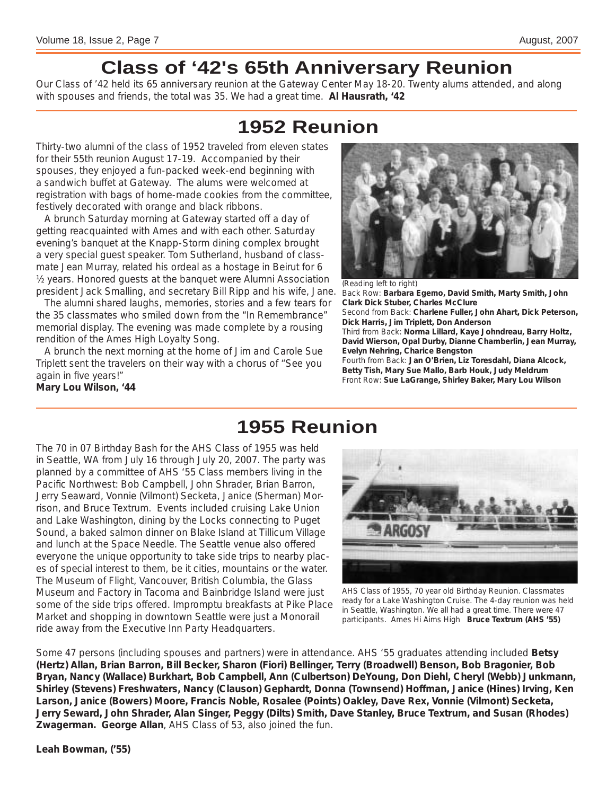### **Class of '42's 65th Anniversary Reunion**

Our Class of '42 held its 65 anniversary reunion at the Gateway Center May 18-20. Twenty alums attended, and along with spouses and friends, the total was 35. We had a great time. **Al Hausrath, '42**

### **1952 Reunion**

Thirty-two alumni of the class of 1952 traveled from eleven states for their 55th reunion August 17-19. Accompanied by their spouses, they enjoyed a fun-packed week-end beginning with a sandwich buffet at Gateway. The alums were welcomed at registration with bags of home-made cookies from the committee, festively decorated with orange and black ribbons.

 A brunch Saturday morning at Gateway started off a day of getting reacquainted with Ames and with each other. Saturday evening's banquet at the Knapp-Storm dining complex brought a very special guest speaker. Tom Sutherland, husband of classmate Jean Murray, related his ordeal as a hostage in Beirut for 6 ½ years. Honored guests at the banquet were Alumni Association president Jack Smalling, and secretary Bill Ripp and his wife, Jane.

 The alumni shared laughs, memories, stories and a few tears for the 35 classmates who smiled down from the "In Remembrance" memorial display. The evening was made complete by a rousing rendition of the Ames High Loyalty Song.

 A brunch the next morning at the home of Jim and Carole Sue Triplett sent the travelers on their way with a chorus of "See you again in five years!" **Mary Lou Wilson, '44**



(Reading left to right) Back Row: **Barbara Egemo, David Smith, Marty Smith, John Clark Dick Stuber, Charles McClure** Second from Back: **Charlene Fuller, John Ahart, Dick Peterson, Dick Harris, Jim Triplett, Don Anderson** Third from Back: **Norma Lillard, Kaye Johndreau, Barry Holtz, David Wierson, Opal Durby, Dianne Chamberlin, Jean Murray, Evelyn Nehring, Charice Bengston** Fourth from Back: **Jan O'Brien, Liz Toresdahl, Diana Alcock, Betty Tish, Mary Sue Mallo, Barb Houk, Judy Meldrum** Front Row: **Sue LaGrange, Shirley Baker, Mary Lou Wilson**

### **1955 Reunion**

The 70 in 07 Birthday Bash for the AHS Class of 1955 was held in Seattle, WA from July 16 through July 20, 2007. The party was planned by a committee of AHS '55 Class members living in the Pacific Northwest: Bob Campbell, John Shrader, Brian Barron, Jerry Seaward, Vonnie (Vilmont) Secketa, Janice (Sherman) Morrison, and Bruce Textrum. Events included cruising Lake Union and Lake Washington, dining by the Locks connecting to Puget Sound, a baked salmon dinner on Blake Island at Tillicum Village and lunch at the Space Needle. The Seattle venue also offered everyone the unique opportunity to take side trips to nearby places of special interest to them, be it cities, mountains or the water. The Museum of Flight, Vancouver, British Columbia, the Glass Museum and Factory in Tacoma and Bainbridge Island were just some of the side trips offered. Impromptu breakfasts at Pike Place Market and shopping in downtown Seattle were just a Monorail ride away from the Executive Inn Party Headquarters.



AHS Class of 1955, 70 year old Birthday Reunion. Classmates ready for a Lake Washington Cruise. The 4-day reunion was held in Seattle, Washington. We all had a great time. There were 47 participants. Ames Hi Aims High **Bruce Textrum (AHS '55)**

Some 47 persons (including spouses and partners) were in attendance. AHS '55 graduates attending included **Betsy (Hertz) Allan, Brian Barron, Bill Becker, Sharon (Fiori) Bellinger, Terry (Broadwell) Benson, Bob Bragonier, Bob Bryan, Nancy (Wallace) Burkhart, Bob Campbell, Ann (Culbertson) DeYoung, Don Diehl, Cheryl (Webb) Junkmann, Shirley (Stevens) Freshwaters, Nancy (Clauson) Gephardt, Donna (Townsend) Hoffman, Janice (Hines) Irving, Ken Larson, Janice (Bowers) Moore, Francis Noble, Rosalee (Points) Oakley, Dave Rex, Vonnie (Vilmont) Secketa, Jerry Seward, John Shrader, Alan Singer, Peggy (Dilts) Smith, Dave Stanley, Bruce Textrum, and Susan (Rhodes) Zwagerman. George Allan**, AHS Class of 53, also joined the fun.

**Leah Bowman, ('55)**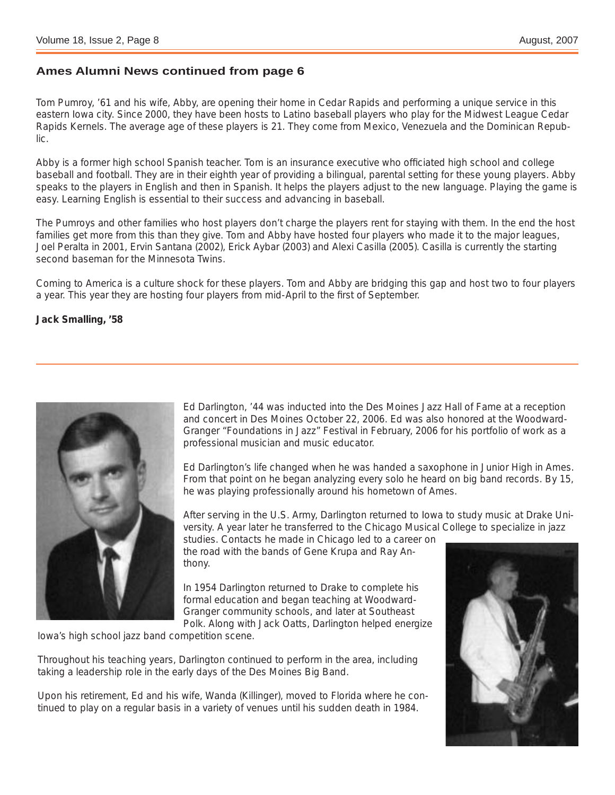#### **Ames Alumni News continued from page 6**

Tom Pumroy, '61 and his wife, Abby, are opening their home in Cedar Rapids and performing a unique service in this eastern Iowa city. Since 2000, they have been hosts to Latino baseball players who play for the Midwest League Cedar Rapids Kernels. The average age of these players is 21. They come from Mexico, Venezuela and the Dominican Republic.

Abby is a former high school Spanish teacher. Tom is an insurance executive who officiated high school and college baseball and football. They are in their eighth year of providing a bilingual, parental setting for these young players. Abby speaks to the players in English and then in Spanish. It helps the players adjust to the new language. Playing the game is easy. Learning English is essential to their success and advancing in baseball.

The Pumroys and other families who host players don't charge the players rent for staying with them. In the end the host families get more from this than they give. Tom and Abby have hosted four players who made it to the major leagues, Joel Peralta in 2001, Ervin Santana (2002), Erick Aybar (2003) and Alexi Casilla (2005). Casilla is currently the starting second baseman for the Minnesota Twins.

Coming to America is a culture shock for these players. Tom and Abby are bridging this gap and host two to four players a year. This year they are hosting four players from mid-April to the first of September.

**Jack Smalling, '58**



Ed Darlington, '44 was inducted into the Des Moines Jazz Hall of Fame at a reception and concert in Des Moines October 22, 2006. Ed was also honored at the Woodward-Granger "Foundations in Jazz" Festival in February, 2006 for his portfolio of work as a professional musician and music educator.

Ed Darlington's life changed when he was handed a saxophone in Junior High in Ames. From that point on he began analyzing every solo he heard on big band records. By 15, he was playing professionally around his hometown of Ames.

After serving in the U.S. Army, Darlington returned to Iowa to study music at Drake University. A year later he transferred to the Chicago Musical College to specialize in jazz

studies. Contacts he made in Chicago led to a career on the road with the bands of Gene Krupa and Ray Anthony.

In 1954 Darlington returned to Drake to complete his formal education and began teaching at Woodward-Granger community schools, and later at Southeast Polk. Along with Jack Oatts, Darlington helped energize

Iowa's high school jazz band competition scene.

Throughout his teaching years, Darlington continued to perform in the area, including taking a leadership role in the early days of the Des Moines Big Band.

Upon his retirement, Ed and his wife, Wanda (Killinger), moved to Florida where he continued to play on a regular basis in a variety of venues until his sudden death in 1984.

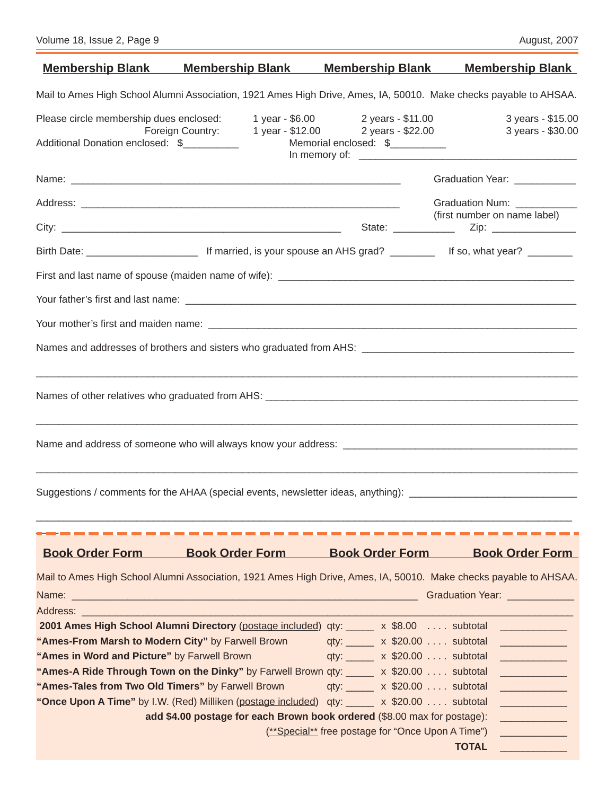|                                                                                                      | <u>Membership Blank Membership Blank</u>                                                                                                                                                                                                                                               |                                                                       | <b>Membership Blank Membership Blank</b>                                                                                                                                                                                             |  |  |
|------------------------------------------------------------------------------------------------------|----------------------------------------------------------------------------------------------------------------------------------------------------------------------------------------------------------------------------------------------------------------------------------------|-----------------------------------------------------------------------|--------------------------------------------------------------------------------------------------------------------------------------------------------------------------------------------------------------------------------------|--|--|
|                                                                                                      | Mail to Ames High School Alumni Association, 1921 Ames High Drive, Ames, IA, 50010. Make checks payable to AHSAA.                                                                                                                                                                      |                                                                       |                                                                                                                                                                                                                                      |  |  |
| Please circle membership dues enclosed:                                                              |                                                                                                                                                                                                                                                                                        | 1 year - \$6.00 2 years - \$11.00                                     | 3 years - \$15.00                                                                                                                                                                                                                    |  |  |
| Additional Donation enclosed: \$__________                                                           | Foreign Country:                                                                                                                                                                                                                                                                       | 1 year - \$12.00 2 years - \$22.00<br>Memorial enclosed: \$__________ | 3 years - \$30.00                                                                                                                                                                                                                    |  |  |
|                                                                                                      |                                                                                                                                                                                                                                                                                        |                                                                       | Graduation Year: ____________                                                                                                                                                                                                        |  |  |
|                                                                                                      |                                                                                                                                                                                                                                                                                        |                                                                       | Graduation Num: ___________                                                                                                                                                                                                          |  |  |
|                                                                                                      |                                                                                                                                                                                                                                                                                        |                                                                       | (first number on name label)                                                                                                                                                                                                         |  |  |
|                                                                                                      |                                                                                                                                                                                                                                                                                        |                                                                       |                                                                                                                                                                                                                                      |  |  |
|                                                                                                      |                                                                                                                                                                                                                                                                                        |                                                                       |                                                                                                                                                                                                                                      |  |  |
|                                                                                                      |                                                                                                                                                                                                                                                                                        |                                                                       |                                                                                                                                                                                                                                      |  |  |
|                                                                                                      |                                                                                                                                                                                                                                                                                        |                                                                       |                                                                                                                                                                                                                                      |  |  |
|                                                                                                      |                                                                                                                                                                                                                                                                                        |                                                                       |                                                                                                                                                                                                                                      |  |  |
|                                                                                                      | ,我们就会在这里的,我们就会在这里的,我们就会在这里的,我们就会在这里的,我们就会在这里,我们就会在这里的。""我们,我们就会不会不会。""我们,我们就会不会不                                                                                                                                                                                                       |                                                                       |                                                                                                                                                                                                                                      |  |  |
|                                                                                                      |                                                                                                                                                                                                                                                                                        |                                                                       |                                                                                                                                                                                                                                      |  |  |
|                                                                                                      | ,我们就会在这里的,我们就会在这里的人,我们就会在这里的人,我们就会在这里的人,我们就会在这里的人,我们就会在这里的人,我们就会在这里的人,我们就会在这里的人,<br>第2011章 我们的人,我们就会在这里的人,我们就会在这里的人,我们就会在这里的人,我们就会在这里的人,我们就会在这里的人,我们就会在这里的人,我们就会在这里的<br>Suggestions / comments for the AHAA (special events, newsletter ideas, anything): ____________________________ |                                                                       |                                                                                                                                                                                                                                      |  |  |
|                                                                                                      |                                                                                                                                                                                                                                                                                        |                                                                       |                                                                                                                                                                                                                                      |  |  |
| <b>Book Order Form</b>                                                                               | <b>Book Order Form</b>                                                                                                                                                                                                                                                                 | <b>Book Order Form</b>                                                | <b>Book Order Form</b>                                                                                                                                                                                                               |  |  |
|                                                                                                      | Mail to Ames High School Alumni Association, 1921 Ames High Drive, Ames, IA, 50010. Make checks payable to AHSAA.                                                                                                                                                                      |                                                                       |                                                                                                                                                                                                                                      |  |  |
|                                                                                                      |                                                                                                                                                                                                                                                                                        |                                                                       | Graduation Year: ____________                                                                                                                                                                                                        |  |  |
| Address: Address: Address: Address: Address: Address: Address: Address: Address: Address: Address: A |                                                                                                                                                                                                                                                                                        |                                                                       |                                                                                                                                                                                                                                      |  |  |
| "Ames-From Marsh to Modern City" by Farwell Brown                                                    | 2001 Ames High School Alumni Directory (postage included) qty: ____ x \$8.00  subtotal __________                                                                                                                                                                                      | qty: $\frac{1}{2}$ x \$20.00  subtotal                                |                                                                                                                                                                                                                                      |  |  |
| "Ames in Word and Picture" by Farwell Brown                                                          |                                                                                                                                                                                                                                                                                        | qty: $x $20.00 $ subtotal                                             | <u> Alexandro Alexandro Alexandro Alexandro Alexandro Alexandro Alexandro Alexandro Alexandro Alexandro Alexandro Alexandro Alexandro Alexandro Alexandro Alexandro Alexandro Alexandro Alexandro Alexandro Alexandro Alexandro </u> |  |  |
|                                                                                                      | "Ames-A Ride Through Town on the Dinky" by Farwell Brown qty: _____ x \$20.00 subtotal                                                                                                                                                                                                 |                                                                       | <b>STATE OF STATE OF STATE OF STATE OF STATE OF STATE OF STATE OF STATE OF STATE OF STATE OF STATE OF STATE OF S</b>                                                                                                                 |  |  |
| "Ames-Tales from Two Old Timers" by Farwell Brown                                                    |                                                                                                                                                                                                                                                                                        | qty: $\frac{\ }{20.00}$ $\ldots$ subtotal                             | <u> 1990 - Jan Barbara Barat, politik politik (</u>                                                                                                                                                                                  |  |  |
|                                                                                                      | "Once Upon A Time" by I.W. (Red) Milliken (postage included) qty: _____ x \$20.00 subtotal                                                                                                                                                                                             |                                                                       | <b>STATE</b>                                                                                                                                                                                                                         |  |  |
|                                                                                                      | add \$4.00 postage for each Brown book ordered (\$8.00 max for postage):<br><u> 1990 - Johann Barn, mars ar breithinn ar breithinn ar breithinn ar breithinn ar breithinn ar breithinn ar br</u>                                                                                       |                                                                       |                                                                                                                                                                                                                                      |  |  |
|                                                                                                      |                                                                                                                                                                                                                                                                                        | (**Special** free postage for "Once Upon A Time")                     |                                                                                                                                                                                                                                      |  |  |
|                                                                                                      |                                                                                                                                                                                                                                                                                        |                                                                       | <b>TOTAL</b><br><u> Andrew Maria (</u>                                                                                                                                                                                               |  |  |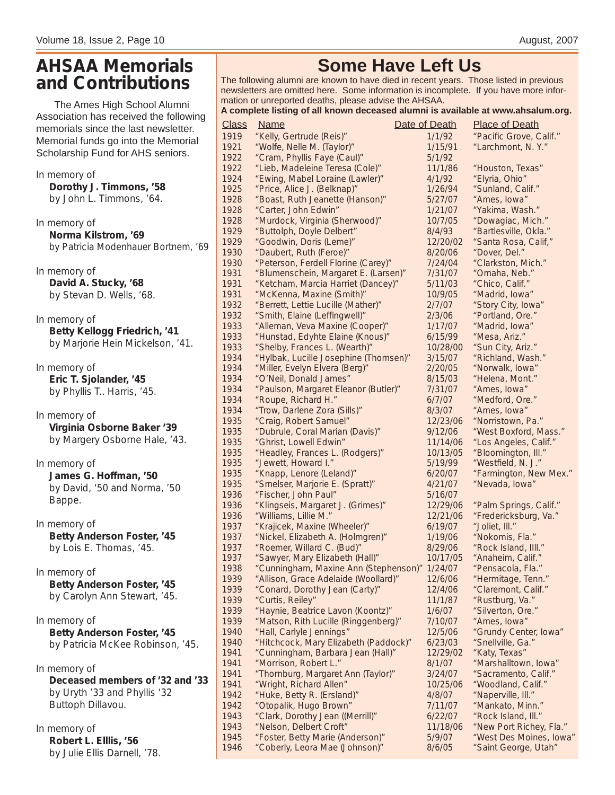#### **AHSAA Memorials and Contributions**

The Ames High School Alumni Association has received the following me morials since the last newsletter. Memorial funds go into the Memorial Scholarship Fund for AHS seniors.

In memory of **Dorothy J. Timmons, '58** by John L. Timmons, '64.

In memory of **Norma Kilstrom, '69** by Patricia Modenhauer Bortnem, '69

In memory of **David A. Stucky, '68** by Stevan D. Wells, '68.

In memory of **Betty Kellogg Friedrich, '41** by Marjorie Hein Mickelson, '41.

In memory of **Eric T. Sjolander, '45** by Phyllis T.. Harris, '45.

In memory of **Virginia Osborne Baker '39** by Margery Osborne Hale, '43.

In memory of **James G. Hoffman, '50** by David, '50 and Norma, '50 Bappe.

In memory of **Betty Anderson Foster, '45** by Lois E. Thomas, '45.

In memory of **Betty Anderson Foster, '45** by Carolyn Ann Stewart, '45.

In memory of **Betty Anderson Foster, '45** by Patricia McKee Robinson, '45.

In memory of **Deceased members of '32 and '33** by Uryth '33 and Phyllis '32 Buttoph Dillavou.

In memory of **Robert L. Elllis, '56** by Julie Ellis Darnell, '78.

#### **Some Have Left Us**

The following alumni are known to have died in recent years. Those listed in previous newsletters are omitted here. Some information is incomplete. If you have more information or unreported deaths, please advise the AHSAA.

#### **A complete listing of all known deceased alumni is available at www.ahsalum.org.**

| A complete listing of all known deceased alumni is available at www.ahsalum.org. |                                       |               |                         |  |  |  |  |  |
|----------------------------------------------------------------------------------|---------------------------------------|---------------|-------------------------|--|--|--|--|--|
| <b>Class</b>                                                                     | <u>Name</u>                           | Date of Death | <b>Place of Death</b>   |  |  |  |  |  |
| 1919                                                                             | "Kelly, Gertrude (Reis)"              | 1/1/92        | "Pacific Grove, Calif." |  |  |  |  |  |
| 1921                                                                             | "Wolfe, Nelle M. (Taylor)"            | 1/15/91       | "Larchmont, N.Y."       |  |  |  |  |  |
| 1922                                                                             | "Cram, Phyllis Faye (Caul)"           | 5/1/92        |                         |  |  |  |  |  |
| 1922                                                                             | "Lieb, Madeleine Teresa (Cole)"       | 11/1/86       | "Houston, Texas"        |  |  |  |  |  |
| 1924                                                                             | "Ewing, Mabel Loraine (Lawler)"       | 4/1/92        | "Elyria, Ohio"          |  |  |  |  |  |
| 1925                                                                             | "Price, Alice J. (Belknap)"           | 1/26/94       | "Sunland, Calif."       |  |  |  |  |  |
| 1928                                                                             | "Boast, Ruth Jeanette (Hanson)"       | 5/27/07       | "Ames, Iowa"            |  |  |  |  |  |
| 1928                                                                             | "Carter, John Edwin"                  | 1/21/07       | "Yakima, Wash."         |  |  |  |  |  |
| 1928                                                                             | "Murdock, Virginia (Sherwood)"        | 10/7/05       | "Dowagiac, Mich."       |  |  |  |  |  |
| 1929                                                                             | "Buttolph, Doyle Delbert"             | 8/4/93        | "Bartlesville, Okla."   |  |  |  |  |  |
| 1929                                                                             | "Goodwin, Doris (Leme)"               | 12/20/02      | "Santa Rosa, Calif,"    |  |  |  |  |  |
| 1930                                                                             | "Daubert, Ruth (Feroe)"               | 8/20/06       | "Dover, Del."           |  |  |  |  |  |
| 1930                                                                             | "Peterson, Ferdell Florine (Carey)"   | 7/24/04       | "Clarkston, Mich."      |  |  |  |  |  |
| 1931                                                                             | "Blumenschein, Margaret E. (Larsen)"  | 7/31/07       | "Omaha, Neb."           |  |  |  |  |  |
| 1931                                                                             | "Ketcham, Marcia Harriet (Dancey)"    | 5/11/03       | "Chico, Calif."         |  |  |  |  |  |
| 1931                                                                             | "McKenna, Maxine (Smith)"             | 10/9/05       | "Madrid, Iowa"          |  |  |  |  |  |
| 1932                                                                             | "Berrett, Lettie Lucille (Mather)"    | 2/7/07        | "Story City, Iowa"      |  |  |  |  |  |
| 1932                                                                             | "Smith, Elaine (Leffingwell)"         | 2/3/06        | "Portland, Ore."        |  |  |  |  |  |
| 1933                                                                             | "Alleman, Veva Maxine (Cooper)"       | 1/17/07       | "Madrid, Iowa"          |  |  |  |  |  |
| 1933                                                                             | "Hunstad, Edyhte Elaine (Knous)"      | 6/15/99       | "Mesa, Ariz."           |  |  |  |  |  |
| 1933                                                                             | "Shelby, Frances L. (Wearth)"         | 10/28/00      | "Sun City, Ariz."       |  |  |  |  |  |
| 1934                                                                             | "Hylbak, Lucille Josephine (Thomsen)" | 3/15/07       | "Richland, Wash."       |  |  |  |  |  |
| 1934                                                                             | "Miller, Evelyn Elvera (Berg)"        | 2/20/05       | "Norwalk, Iowa"         |  |  |  |  |  |
| 1934                                                                             | "O'Neil, Donald James"                | 8/15/03       | "Helena, Mont."         |  |  |  |  |  |
| 1934                                                                             | "Paulson, Margaret Eleanor (Butler)"  | 7/31/07       | "Ames, Iowa"            |  |  |  |  |  |
| 1934                                                                             | "Roupe, Richard H."                   | 6/7/07        | "Medford, Ore."         |  |  |  |  |  |
| 1934                                                                             | "Trow, Darlene Zora (Sills)"          | 8/3/07        | "Ames, Iowa"            |  |  |  |  |  |
| 1935                                                                             | "Craig, Robert Samuel"                | 12/23/06      | "Norristown, Pa."       |  |  |  |  |  |
| 1935                                                                             | "Dubrule, Coral Marian (Davis)"       | 9/12/06       | "West Boxford, Mass."   |  |  |  |  |  |
| 1935                                                                             | "Ghrist, Lowell Edwin"                | 11/14/06      | "Los Angeles, Calif."   |  |  |  |  |  |
| 1935                                                                             | "Headley, Frances L. (Rodgers)"       | 10/13/05      | "Bloomington, Ill."     |  |  |  |  |  |
| 1935                                                                             | "Jewett, Howard I."                   | 5/19/99       | "Westfield, N. J."      |  |  |  |  |  |
| 1935                                                                             | "Knapp, Lenore (Leland)"              | 6/20/07       | "Farmington, New Mex."  |  |  |  |  |  |
| 1935                                                                             | "Smelser, Marjorie E. (Spratt)"       | 4/21/07       | "Nevada, Iowa"          |  |  |  |  |  |
| 1936                                                                             | "Fischer, John Paul"                  | 5/16/07       |                         |  |  |  |  |  |
| 1936                                                                             | "Klingseis, Margaret J. (Grimes)"     | 12/29/06      | "Palm Springs, Calif."  |  |  |  |  |  |
| 1936                                                                             | "Williams, Lillie M."                 | 12/21/06      | "Fredericksburg, Va."   |  |  |  |  |  |
| 1937                                                                             | "Krajicek, Maxine (Wheeler)"          | 6/19/07       | "Joliet, III."          |  |  |  |  |  |
| 1937                                                                             | "Nickel, Elizabeth A. (Holmgren)"     | 1/19/06       | "Nokomis, Fla."         |  |  |  |  |  |
| 1937                                                                             | "Roemer, Willard C. (Bud)"            | 8/29/06       | "Rock Island, IIII."    |  |  |  |  |  |
| 1937                                                                             | "Sawyer, Mary Elizabeth (Hall)"       | 10/17/05      | "Anaheim, Calif."       |  |  |  |  |  |
| 1938                                                                             | "Cunningham, Maxine Ann (Stephenson)" | 1/24/07       | "Pensacola, Fla."       |  |  |  |  |  |
| 1939                                                                             | "Allison, Grace Adelaide (Woollard)"  | 12/6/06       | "Hermitage, Tenn."      |  |  |  |  |  |
| 1939                                                                             | "Conard, Dorothy Jean (Carty)"        | 12/4/06       | "Claremont, Calif."     |  |  |  |  |  |
| 1939                                                                             | "Curtis, Reiley"                      | 11/1/87       | "Rustburg, Va."         |  |  |  |  |  |
| 1939                                                                             | "Haynie, Beatrice Lavon (Koontz)"     | 1/6/07        | "Silverton, Ore."       |  |  |  |  |  |
| 1939                                                                             | "Matson, Rith Lucille (Ringgenberg)"  | 7/10/07       | "Ames, Iowa"            |  |  |  |  |  |
| 1940                                                                             | "Hall, Carlyle Jennings"              | 12/5/06       | "Grundy Center, Iowa"   |  |  |  |  |  |
| 1940                                                                             | "Hitchcock, Mary Elizabeth (Paddock)" | 6/23/03       | "Snellville, Ga."       |  |  |  |  |  |
| 1941                                                                             | "Cunningham, Barbara Jean (Hall)"     | 12/29/02      | "Katy, Texas"           |  |  |  |  |  |
| 1941                                                                             | "Morrison, Robert L."                 | 8/1/07        | "Marshalltown, Iowa"    |  |  |  |  |  |
| 1941                                                                             | "Thornburg, Margaret Ann (Taylor)"    | 3/24/07       | "Sacramento, Calif."    |  |  |  |  |  |
| 1941                                                                             | "Wright, Richard Allen"               | 10/25/06      | "Woodland, Calif."      |  |  |  |  |  |
| 1942                                                                             | "Huke, Betty R. (Ersland)"            | 4/8/07        | "Naperville, III."      |  |  |  |  |  |
| 1942                                                                             | "Otopalik, Hugo Brown"                | 7/11/07       | "Mankato, Minn."        |  |  |  |  |  |
| 1943                                                                             | "Clark, Dorothy Jean ((Merrill)"      | 6/22/07       | "Rock Island, Ill."     |  |  |  |  |  |
| 1943                                                                             | "Nelson, Delbert Croft"               | 11/18/06      | "New Port Richey, Fla." |  |  |  |  |  |
| 1945                                                                             | "Foster, Betty Marie (Anderson)"      | 5/9/07        | "West Des Moines, Iowa" |  |  |  |  |  |
| 1946                                                                             | "Coberly, Leora Mae (Johnson)"        | 8/6/05        | "Saint George, Utah"    |  |  |  |  |  |
|                                                                                  |                                       |               |                         |  |  |  |  |  |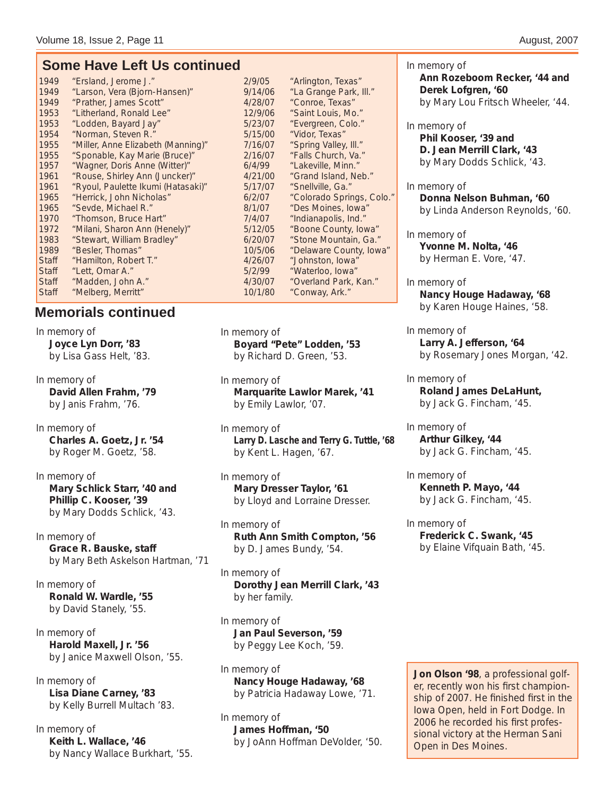#### **Some Have Left Us continued**

| 1949         | "Ersland, Jerome J."               | 2/9/05  | "Arlington, Texa  |
|--------------|------------------------------------|---------|-------------------|
| 1949         | "Larson, Vera (Bjorn-Hansen)"      | 9/14/06 | "La Grange Par    |
| 1949         | "Prather, James Scott"             | 4/28/07 | "Conroe, Texas    |
| 1953         | "Litherland, Ronald Lee"           | 12/9/06 | "Saint Louis, M   |
| 1953         | "Lodden, Bayard Jay"               | 5/23/07 | "Evergreen, Co    |
| 1954         | "Norman, Steven R."                | 5/15/00 | "Vidor, Texas"    |
| 1955         | "Miller, Anne Elizabeth (Manning)" | 7/16/07 | "Spring Valley,   |
| 1955         | "Sponable, Kay Marie (Bruce)"      | 2/16/07 | "Falls Church,    |
| 1957         | "Wagner, Doris Anne (Witter)"      | 6/4/99  | "Lakeville, Mini  |
| 1961         | "Rouse, Shirley Ann (Juncker)"     | 4/21/00 | "Grand Island,    |
| 1961         | "Ryoul, Paulette Ikumi (Hatasaki)" | 5/17/07 | "Snellville, Ga.' |
| 1965         | "Herrick, John Nicholas"           | 6/2/07  | "Colorado Spri    |
| 1965         | "Sevde, Michael R."                | 8/1/07  | "Des Moines, le   |
| 1970         | "Thomson, Bruce Hart"              | 7/4/07  | "Indianapolis, I  |
| 1972         | "Milani, Sharon Ann (Henely)"      | 5/12/05 | "Boone County     |
| 1983         | "Stewart, William Bradley"         | 6/20/07 | "Stone Mounta     |
| 1989         | "Besler, Thomas"                   | 10/5/06 | "Delaware Cou     |
| Staff        | "Hamilton, Robert T."              | 4/26/07 | "Johnston, low    |
| <b>Staff</b> | "Lett, Omar A."                    | 5/2/99  | "Waterloo, low    |
| Staff        | "Madden, John A."                  | 4/30/07 | "Overland Park    |
| <b>Staff</b> | "Melberg, Merritt"                 | 10/1/80 | "Conway, Ark."    |

#### **Memorials continued**

In memory of **Joyce Lyn Dorr, '83** by Lisa Gass Helt, '83.

In memory of **David Allen Frahm, '79** by Janis Frahm, '76.

In memory of **Charles A. Goetz, Jr. '54** by Roger M. Goetz, '58.

In memory of **Mary Schlick Starr, '40 and Phillip C. Kooser, '39** by Mary Dodds Schlick, '43.

In memory of **Grace R. Bauske, staff** by Mary Beth Askelson Hartman, '71

In memory of **Ronald W. Wardle, '55** by David Stanely, '55.

In memory of **Harold Maxell, Jr. '56** by Janice Maxwell Olson, '55.

In memory of **Lisa Diane Carney, '83** by Kelly Burrell Multach '83.

In memory of **Keith L. Wallace, '46** by Nancy Wallace Burkhart, '55.

"Arlington, Texas" 06 "La Grange Park, Ill." 07 "Conroe, Texas" 06 "Saint Louis, Mo." 07 "Evergreen, Colo." 00 "Vidor, Texas" 07 "Spring Valley, Ill." 1955 "Sponable, Kay Marie (Bruce)" 2/16/07 "Falls Church, Va." "Lakeville, Minn." 00 "Grand Island, Neb." 07 "Snellville, Ga." "Colorado Springs, Colo." "Des Moines, Iowa" "Indianapolis, Ind." 05 "Boone County, Iowa" 07 "Stone Mountain, Ga." 06 "Delaware County, Iowa" O7 "Johnston, Iowa" Staff "Anterloo, Iowa"<br>Staff "Overland Park, I Staff "Madden, John A." 4/30/07 "Overland Park, Kan."

In memory of **Boyard "Pete" Lodden, '53** by Richard D. Green, '53.

In memory of **Marquarite Lawlor Marek, '41** by Emily Lawlor, '07.

In memory of **Larry D. Lasche and Terry G. Tuttle, '68** by Kent L. Hagen, '67.

In memory of **Mary Dresser Taylor, '61** by Lloyd and Lorraine Dresser.

In memory of **Ruth Ann Smith Compton, '56** by D. James Bundy, '54.

In memory of **Dorothy Jean Merrill Clark, '43** by her family.

In memory of **Jan Paul Severson, '59** by Peggy Lee Koch, '59.

In memory of **Nancy Houge Hadaway, '68** by Patricia Hadaway Lowe, '71.

In memory of **James Hoffman, '50** by JoAnn Hoffman DeVolder, '50. In memory of **Ann Rozeboom Recker, '44 and Derek Lofgren, '60** by Mary Lou Fritsch Wheeler, '44.

In memory of **Phil Kooser, '39 and D. Jean Merrill Clark, '43** by Mary Dodds Schlick, '43.

In memory of **Donna Nelson Buhman, '60** by Linda Anderson Reynolds, '60.

In memory of **Yvonne M. Nolta, '46** by Herman E. Vore, '47.

In memory of **Nancy Houge Hadaway, '68** by Karen Houge Haines, '58.

In memory of **Larry A. Jefferson, '64** by Rosemary Jones Morgan, '42.

In memory of **Roland James DeLaHunt,**  by Jack G. Fincham, '45.

In memory of **Arthur Gilkey, '44** by Jack G. Fincham, '45.

In memory of **Kenneth P. Mayo, '44** by Jack G. Fincham, '45.

In memory of **Frederick C. Swank, '45** by Elaine Vifquain Bath, '45.

**Jon Olson '98**, a professional golfer, recently won his first championship of 2007. He finished first in the Iowa Open, held in Fort Dodge. In 2006 he recorded his first professional victory at the Herman Sani Open in Des Moines.